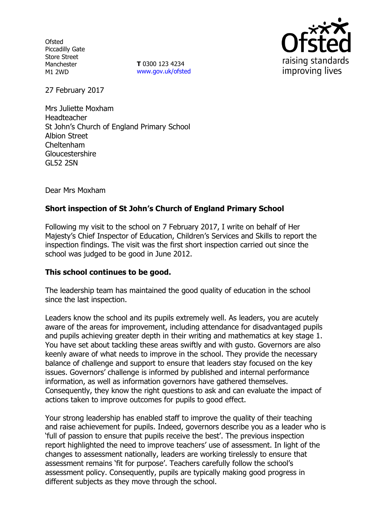**Ofsted** Piccadilly Gate Store Street Manchester M1 2WD

**T** 0300 123 4234 www.gov.uk/ofsted



27 February 2017

Mrs Juliette Moxham Headteacher St John's Church of England Primary School Albion Street Cheltenham **Gloucestershire** GL52 2SN

Dear Mrs Moxham

# **Short inspection of St John's Church of England Primary School**

Following my visit to the school on 7 February 2017, I write on behalf of Her Majesty's Chief Inspector of Education, Children's Services and Skills to report the inspection findings. The visit was the first short inspection carried out since the school was judged to be good in June 2012.

# **This school continues to be good.**

The leadership team has maintained the good quality of education in the school since the last inspection.

Leaders know the school and its pupils extremely well. As leaders, you are acutely aware of the areas for improvement, including attendance for disadvantaged pupils and pupils achieving greater depth in their writing and mathematics at key stage 1. You have set about tackling these areas swiftly and with gusto. Governors are also keenly aware of what needs to improve in the school. They provide the necessary balance of challenge and support to ensure that leaders stay focused on the key issues. Governors' challenge is informed by published and internal performance information, as well as information governors have gathered themselves. Consequently, they know the right questions to ask and can evaluate the impact of actions taken to improve outcomes for pupils to good effect.

Your strong leadership has enabled staff to improve the quality of their teaching and raise achievement for pupils. Indeed, governors describe you as a leader who is 'full of passion to ensure that pupils receive the best'. The previous inspection report highlighted the need to improve teachers' use of assessment. In light of the changes to assessment nationally, leaders are working tirelessly to ensure that assessment remains 'fit for purpose'. Teachers carefully follow the school's assessment policy. Consequently, pupils are typically making good progress in different subjects as they move through the school.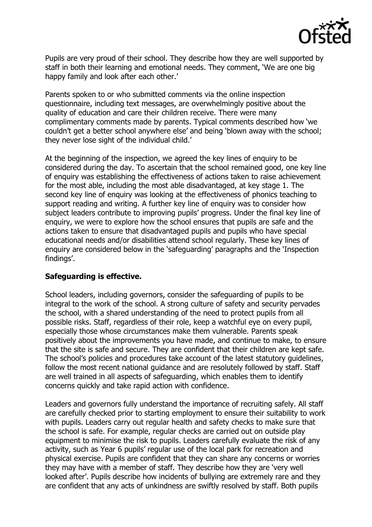

Pupils are very proud of their school. They describe how they are well supported by staff in both their learning and emotional needs. They comment, 'We are one big happy family and look after each other.'

Parents spoken to or who submitted comments via the online inspection questionnaire, including text messages, are overwhelmingly positive about the quality of education and care their children receive. There were many complimentary comments made by parents. Typical comments described how 'we couldn't get a better school anywhere else' and being 'blown away with the school; they never lose sight of the individual child.'

At the beginning of the inspection, we agreed the key lines of enquiry to be considered during the day. To ascertain that the school remained good, one key line of enquiry was establishing the effectiveness of actions taken to raise achievement for the most able, including the most able disadvantaged, at key stage 1. The second key line of enquiry was looking at the effectiveness of phonics teaching to support reading and writing. A further key line of enquiry was to consider how subject leaders contribute to improving pupils' progress. Under the final key line of enquiry, we were to explore how the school ensures that pupils are safe and the actions taken to ensure that disadvantaged pupils and pupils who have special educational needs and/or disabilities attend school regularly. These key lines of enquiry are considered below in the 'safeguarding' paragraphs and the 'Inspection findings'.

# **Safeguarding is effective.**

School leaders, including governors, consider the safeguarding of pupils to be integral to the work of the school. A strong culture of safety and security pervades the school, with a shared understanding of the need to protect pupils from all possible risks. Staff, regardless of their role, keep a watchful eye on every pupil, especially those whose circumstances make them vulnerable. Parents speak positively about the improvements you have made, and continue to make, to ensure that the site is safe and secure. They are confident that their children are kept safe. The school's policies and procedures take account of the latest statutory guidelines, follow the most recent national guidance and are resolutely followed by staff. Staff are well trained in all aspects of safeguarding, which enables them to identify concerns quickly and take rapid action with confidence.

Leaders and governors fully understand the importance of recruiting safely. All staff are carefully checked prior to starting employment to ensure their suitability to work with pupils. Leaders carry out regular health and safety checks to make sure that the school is safe. For example, regular checks are carried out on outside play equipment to minimise the risk to pupils. Leaders carefully evaluate the risk of any activity, such as Year 6 pupils' regular use of the local park for recreation and physical exercise. Pupils are confident that they can share any concerns or worries they may have with a member of staff. They describe how they are 'very well looked after'. Pupils describe how incidents of bullying are extremely rare and they are confident that any acts of unkindness are swiftly resolved by staff. Both pupils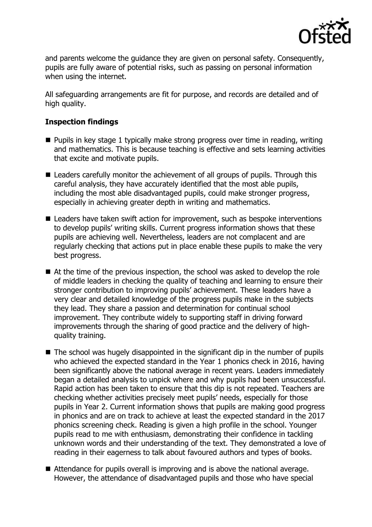

and parents welcome the guidance they are given on personal safety. Consequently, pupils are fully aware of potential risks, such as passing on personal information when using the internet.

All safeguarding arrangements are fit for purpose, and records are detailed and of high quality.

# **Inspection findings**

- $\blacksquare$  Pupils in key stage 1 typically make strong progress over time in reading, writing and mathematics. This is because teaching is effective and sets learning activities that excite and motivate pupils.
- Leaders carefully monitor the achievement of all groups of pupils. Through this careful analysis, they have accurately identified that the most able pupils, including the most able disadvantaged pupils, could make stronger progress, especially in achieving greater depth in writing and mathematics.
- Leaders have taken swift action for improvement, such as bespoke interventions to develop pupils' writing skills. Current progress information shows that these pupils are achieving well. Nevertheless, leaders are not complacent and are regularly checking that actions put in place enable these pupils to make the very best progress.
- At the time of the previous inspection, the school was asked to develop the role of middle leaders in checking the quality of teaching and learning to ensure their stronger contribution to improving pupils' achievement. These leaders have a very clear and detailed knowledge of the progress pupils make in the subjects they lead. They share a passion and determination for continual school improvement. They contribute widely to supporting staff in driving forward improvements through the sharing of good practice and the delivery of highquality training.
- $\blacksquare$  The school was hugely disappointed in the significant dip in the number of pupils who achieved the expected standard in the Year 1 phonics check in 2016, having been significantly above the national average in recent years. Leaders immediately began a detailed analysis to unpick where and why pupils had been unsuccessful. Rapid action has been taken to ensure that this dip is not repeated. Teachers are checking whether activities precisely meet pupils' needs, especially for those pupils in Year 2. Current information shows that pupils are making good progress in phonics and are on track to achieve at least the expected standard in the 2017 phonics screening check. Reading is given a high profile in the school. Younger pupils read to me with enthusiasm, demonstrating their confidence in tackling unknown words and their understanding of the text. They demonstrated a love of reading in their eagerness to talk about favoured authors and types of books.
- Attendance for pupils overall is improving and is above the national average. However, the attendance of disadvantaged pupils and those who have special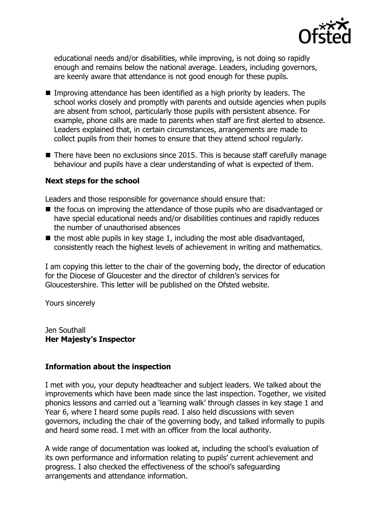

educational needs and/or disabilities, while improving, is not doing so rapidly enough and remains below the national average. Leaders, including governors, are keenly aware that attendance is not good enough for these pupils.

- Improving attendance has been identified as a high priority by leaders. The school works closely and promptly with parents and outside agencies when pupils are absent from school, particularly those pupils with persistent absence. For example, phone calls are made to parents when staff are first alerted to absence. Leaders explained that, in certain circumstances, arrangements are made to collect pupils from their homes to ensure that they attend school regularly.
- There have been no exclusions since 2015. This is because staff carefully manage behaviour and pupils have a clear understanding of what is expected of them.

# **Next steps for the school**

Leaders and those responsible for governance should ensure that:

- $\blacksquare$  the focus on improving the attendance of those pupils who are disadvantaged or have special educational needs and/or disabilities continues and rapidly reduces the number of unauthorised absences
- $\blacksquare$  the most able pupils in key stage 1, including the most able disadvantaged, consistently reach the highest levels of achievement in writing and mathematics.

I am copying this letter to the chair of the governing body, the director of education for the Diocese of Gloucester and the director of children's services for Gloucestershire. This letter will be published on the Ofsted website.

Yours sincerely

Jen Southall **Her Majesty's Inspector**

# **Information about the inspection**

I met with you, your deputy headteacher and subject leaders. We talked about the improvements which have been made since the last inspection. Together, we visited phonics lessons and carried out a 'learning walk' through classes in key stage 1 and Year 6, where I heard some pupils read. I also held discussions with seven governors, including the chair of the governing body, and talked informally to pupils and heard some read. I met with an officer from the local authority.

A wide range of documentation was looked at, including the school's evaluation of its own performance and information relating to pupils' current achievement and progress. I also checked the effectiveness of the school's safeguarding arrangements and attendance information.